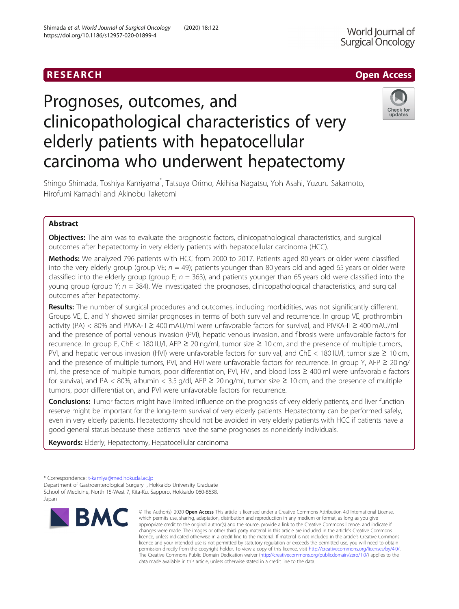## RESEARCH **RESEARCH CHANNEL CONTROL**

# Prognoses, outcomes, and clinicopathological characteristics of very elderly patients with hepatocellular carcinoma who underwent hepatectomy



Shingo Shimada, Toshiya Kamiyama\* , Tatsuya Orimo, Akihisa Nagatsu, Yoh Asahi, Yuzuru Sakamoto, Hirofumi Kamachi and Akinobu Taketomi

### Abstract

**Objectives:** The aim was to evaluate the prognostic factors, clinicopathological characteristics, and surgical outcomes after hepatectomy in very elderly patients with hepatocellular carcinoma (HCC).

Methods: We analyzed 796 patients with HCC from 2000 to 2017. Patients aged 80 years or older were classified into the very elderly group (group VE;  $n = 49$ ); patients younger than 80 years old and aged 65 years or older were classified into the elderly group (group E;  $n = 363$ ), and patients younger than 65 years old were classified into the young group (group Y;  $n = 384$ ). We investigated the prognoses, clinicopathological characteristics, and surgical outcomes after hepatectomy.

Results: The number of surgical procedures and outcomes, including morbidities, was not significantly different. Groups VE, E, and Y showed similar prognoses in terms of both survival and recurrence. In group VE, prothrombin activity (PA) < 80% and PIVKA-II ≥ 400 mAU/ml were unfavorable factors for survival, and PIVKA-II ≥ 400 mAU/ml and the presence of portal venous invasion (PVI), hepatic venous invasion, and fibrosis were unfavorable factors for recurrence. In group E, ChE < 180 IU/l, AFP ≥ 20 ng/ml, tumor size ≥ 10 cm, and the presence of multiple tumors, PVI, and hepatic venous invasion (HVI) were unfavorable factors for survival, and ChE < 180 IU/I, tumor size ≥ 10 cm, and the presence of multiple tumors, PVI, and HVI were unfavorable factors for recurrence. In group Y, AFP  $\geq 20$  ng/ ml, the presence of multiple tumors, poor differentiation, PVI, HVI, and blood loss ≥ 400 ml were unfavorable factors for survival, and PA < 80%, albumin < 3.5 g/dl, AFP ≥ 20 ng/ml, tumor size ≥ 10 cm, and the presence of multiple tumors, poor differentiation, and PVI were unfavorable factors for recurrence.

**Conclusions:** Tumor factors might have limited influence on the prognosis of very elderly patients, and liver function reserve might be important for the long-term survival of very elderly patients. Hepatectomy can be performed safely, even in very elderly patients. Hepatectomy should not be avoided in very elderly patients with HCC if patients have a good general status because these patients have the same prognoses as nonelderly individuals.

Keywords: Elderly, Hepatectomy, Hepatocellular carcinoma

School of Medicine, North 15-West 7, Kita-Ku, Sapporo, Hokkaido 060-8638, Japan



<sup>©</sup> The Author(s). 2020 Open Access This article is licensed under a Creative Commons Attribution 4.0 International License, which permits use, sharing, adaptation, distribution and reproduction in any medium or format, as long as you give appropriate credit to the original author(s) and the source, provide a link to the Creative Commons licence, and indicate if changes were made. The images or other third party material in this article are included in the article's Creative Commons licence, unless indicated otherwise in a credit line to the material. If material is not included in the article's Creative Commons licence and your intended use is not permitted by statutory regulation or exceeds the permitted use, you will need to obtain permission directly from the copyright holder. To view a copy of this licence, visit [http://creativecommons.org/licenses/by/4.0/.](http://creativecommons.org/licenses/by/4.0/) The Creative Commons Public Domain Dedication waiver [\(http://creativecommons.org/publicdomain/zero/1.0/](http://creativecommons.org/publicdomain/zero/1.0/)) applies to the data made available in this article, unless otherwise stated in a credit line to the data.

<sup>\*</sup> Correspondence: [t-kamiya@med.hokudai.ac.jp](mailto:t-kamiya@med.hokudai.ac.jp) Department of Gastroenterological Surgery I, Hokkaido University Graduate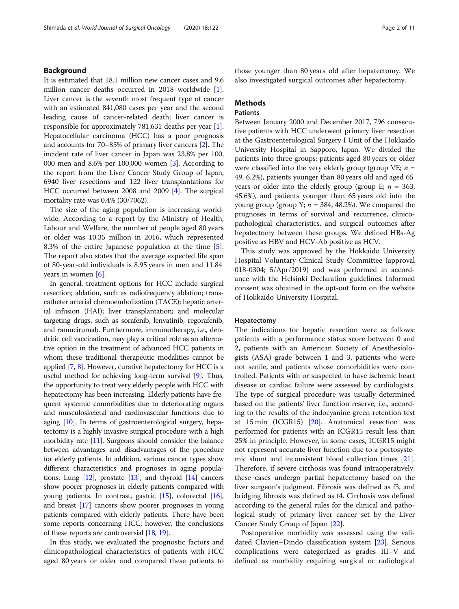#### Background

It is estimated that 18.1 million new cancer cases and 9.6 million cancer deaths occurred in 2018 worldwide [[1](#page-10-0)]. Liver cancer is the seventh most frequent type of cancer with an estimated 841,080 cases per year and the second leading cause of cancer-related death; liver cancer is responsible for approximately 781,631 deaths per year [[1](#page-10-0)]. Hepatocellular carcinoma (HCC) has a poor prognosis and accounts for 70–85% of primary liver cancers [[2\]](#page-10-0). The incident rate of liver cancer in Japan was 23.8% per 100, 000 men and 8.6% per 100,000 women [[3](#page-10-0)]. According to the report from the Liver Cancer Study Group of Japan, 6940 liver resections and 122 liver transplantations for HCC occurred between 2008 and 2009 [\[4\]](#page-10-0). The surgical mortality rate was 0.4% (30/7062).

The size of the aging population is increasing worldwide. According to a report by the Ministry of Health, Labour and Welfare, the number of people aged 80 years or older was 10.35 million in 2016, which represented 8.3% of the entire Japanese population at the time [\[5](#page-10-0)]. The report also states that the average expected life span of 80-year-old individuals is 8.95 years in men and 11.84 years in women [\[6](#page-10-0)].

In general, treatment options for HCC include surgical resection; ablation, such as radiofrequency ablation; transcatheter arterial chemoembolization (TACE); hepatic arterial infusion (HAI); liver transplantation; and molecular targeting drugs, such as sorafenib, lenvatinib, regorafenib, and ramucirumab. Furthermore, immunotherapy, i.e., dendritic cell vaccination, may play a critical role as an alternative option in the treatment of advanced HCC patients in whom these traditional therapeutic modalities cannot be applied [\[7,](#page-10-0) [8](#page-10-0)]. However, curative hepatectomy for HCC is a useful method for achieving long-term survival [\[9](#page-10-0)]. Thus, the opportunity to treat very elderly people with HCC with hepatectomy has been increasing. Elderly patients have frequent systemic comorbidities due to deteriorating organs and musculoskeletal and cardiovascular functions due to aging [\[10](#page-10-0)]. In terms of gastroenterological surgery, hepatectomy is a highly invasive surgical procedure with a high morbidity rate [\[11\]](#page-10-0). Surgeons should consider the balance between advantages and disadvantages of the procedure for elderly patients. In addition, various cancer types show different characteristics and prognoses in aging populations. Lung [[12](#page-10-0)], prostate [\[13\]](#page-10-0), and thyroid [[14](#page-10-0)] cancers show poorer prognoses in elderly patients compared with young patients. In contrast, gastric [\[15](#page-10-0)], colorectal [\[16](#page-10-0)], and breast [\[17](#page-10-0)] cancers show poorer prognoses in young patients compared with elderly patients. There have been some reports concerning HCC; however, the conclusions of these reports are controversial [[18](#page-10-0), [19](#page-10-0)].

In this study, we evaluated the prognostic factors and clinicopathological characteristics of patients with HCC aged 80 years or older and compared these patients to those younger than 80 years old after hepatectomy. We also investigated surgical outcomes after hepatectomy.

#### Methods

#### **Patients**

Between January 2000 and December 2017, 796 consecutive patients with HCC underwent primary liver resection at the Gastroenterological Surgery I Unit of the Hokkaido University Hospital in Sapporo, Japan. We divided the patients into three groups: patients aged 80 years or older were classified into the very elderly group (group VE;  $n =$ 49, 6.2%), patients younger than 80 years old and aged 65 years or older into the elderly group (group E;  $n = 363$ , 45.6%), and patients younger than 65 years old into the young group (group Y;  $n = 384, 48.2\%$ ). We compared the prognoses in terms of survival and recurrence, clinicopathological characteristics, and surgical outcomes after hepatectomy between these groups. We defined HBs-Ag positive as HBV and HCV-Ab positive as HCV.

This study was approved by the Hokkaido University Hospital Voluntary Clinical Study Committee (approval 018-0304; 5/Apr/2019) and was performed in accordance with the Helsinki Declaration guidelines. Informed consent was obtained in the opt-out form on the website of Hokkaido University Hospital.

#### Hepatectomy

The indications for hepatic resection were as follows: patients with a performance status score between 0 and 2, patients with an American Society of Anesthesiologists (ASA) grade between 1 and 3, patients who were not senile, and patients whose comorbidities were controlled. Patients with or suspected to have ischemic heart disease or cardiac failure were assessed by cardiologists. The type of surgical procedure was usually determined based on the patients' liver function reserve, i.e., according to the results of the indocyanine green retention test at 15 min (ICGR15) [[20](#page-10-0)]. Anatomical resection was performed for patients with an ICGR15 result less than 25% in principle. However, in some cases, ICGR15 might not represent accurate liver function due to a portosystemic shunt and inconsistent blood collection times [\[21](#page-10-0)]. Therefore, if severe cirrhosis was found intraoperatively, these cases undergo partial hepatectomy based on the liver surgeon's judgment. Fibrosis was defined as f3, and bridging fibrosis was defined as f4. Cirrhosis was defined according to the general rules for the clinical and pathological study of primary liver cancer set by the Liver Cancer Study Group of Japan [[22\]](#page-10-0).

Postoperative morbidity was assessed using the validated Clavien–Dindo classification system [\[23](#page-10-0)]. Serious complications were categorized as grades III–V and defined as morbidity requiring surgical or radiological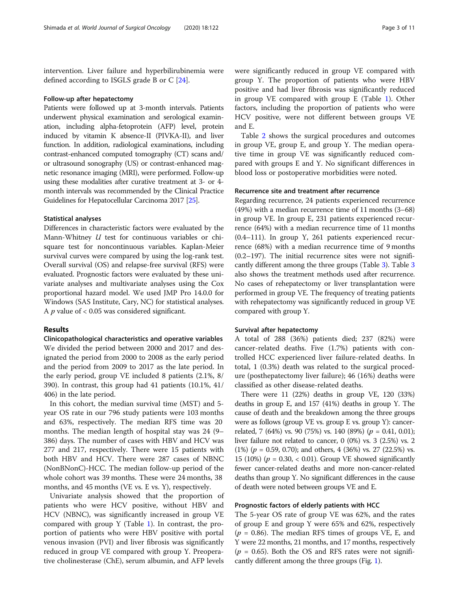intervention. Liver failure and hyperbilirubinemia were defined according to ISGLS grade B or C [\[24](#page-10-0)].

#### Follow-up after hepatectomy

Patients were followed up at 3-month intervals. Patients underwent physical examination and serological examination, including alpha-fetoprotein (AFP) level, protein induced by vitamin K absence-II (PIVKA-II), and liver function. In addition, radiological examinations, including contrast-enhanced computed tomography (CT) scans and/ or ultrasound sonography (US) or contrast-enhanced magnetic resonance imaging (MRI), were performed. Follow-up using these modalities after curative treatment at 3- or 4 month intervals was recommended by the Clinical Practice Guidelines for Hepatocellular Carcinoma 2017 [[25\]](#page-10-0).

#### Statistical analyses

Differences in characteristic factors were evaluated by the Mann-Whitney U test for continuous variables or chisquare test for noncontinuous variables. Kaplan-Meier survival curves were compared by using the log-rank test. Overall survival (OS) and relapse-free survival (RFS) were evaluated. Prognostic factors were evaluated by these univariate analyses and multivariate analyses using the Cox proportional hazard model. We used JMP Pro 14.0.0 for Windows (SAS Institute, Cary, NC) for statistical analyses. A  $p$  value of < 0.05 was considered significant.

#### Results

Clinicopathological characteristics and operative variables We divided the period between 2000 and 2017 and designated the period from 2000 to 2008 as the early period and the period from 2009 to 2017 as the late period. In the early period, group VE included 8 patients (2.1%, 8/ 390). In contrast, this group had 41 patients (10.1%, 41/ 406) in the late period.

In this cohort, the median survival time (MST) and 5 year OS rate in our 796 study patients were 103 months and 63%, respectively. The median RFS time was 20 months. The median length of hospital stay was 24 (9– 386) days. The number of cases with HBV and HCV was 277 and 217, respectively. There were 15 patients with both HBV and HCV. There were 287 cases of NBNC (NonBNonC)-HCC. The median follow-up period of the whole cohort was 39 months. These were 24 months, 38 months, and 45 months (VE vs. E vs. Y), respectively.

Univariate analysis showed that the proportion of patients who were HCV positive, without HBV and HCV (NBNC), was significantly increased in group VE compared with group Y (Table [1\)](#page-3-0). In contrast, the proportion of patients who were HBV positive with portal venous invasion (PVI) and liver fibrosis was significantly reduced in group VE compared with group Y. Preoperative cholinesterase (ChE), serum albumin, and AFP levels

were significantly reduced in group VE compared with group Y. The proportion of patients who were HBV positive and had liver fibrosis was significantly reduced in group VE compared with group E (Table [1](#page-3-0)). Other factors, including the proportion of patients who were HCV positive, were not different between groups VE and E.

Table [2](#page-4-0) shows the surgical procedures and outcomes in group VE, group E, and group Y. The median operative time in group VE was significantly reduced compared with groups E and Y. No significant differences in blood loss or postoperative morbidities were noted.

#### Recurrence site and treatment after recurrence

Regarding recurrence, 24 patients experienced recurrence (49%) with a median recurrence time of 11 months (3–68) in group VE. In group E, 231 patients experienced recurrence (64%) with a median recurrence time of 11 months (0.4–111). In group Y, 261 patients experienced recurrence (68%) with a median recurrence time of 9 months (0.2–197). The initial recurrence sites were not significantly different among the three groups (Table [3](#page-4-0)). Table [3](#page-4-0) also shows the treatment methods used after recurrence. No cases of rehepatectomy or liver transplantation were performed in group VE. The frequency of treating patients with rehepatectomy was significantly reduced in group VE compared with group Y.

#### Survival after hepatectomy

A total of 288 (36%) patients died; 237 (82%) were cancer-related deaths. Five (1.7%) patients with controlled HCC experienced liver failure-related deaths. In total, 1 (0.3%) death was related to the surgical procedure (posthepatectomy liver failure); 46 (16%) deaths were classified as other disease-related deaths.

There were 11 (22%) deaths in group VE, 120 (33%) deaths in group E, and 157 (41%) deaths in group Y. The cause of death and the breakdown among the three groups were as follows (group VE vs. group E vs. group Y): cancerrelated, 7 (64%) vs. 90 (75%) vs. 140 (89%) ( $p = 0.41, 0.01$ ); liver failure not related to cancer, 0 (0%) vs. 3 (2.5%) vs. 2 (1%) ( $p = 0.59, 0.70$ ); and others, 4 (36%) vs. 27 (22.5%) vs. 15 (10%) ( $p = 0.30$ , < 0.01). Group VE showed significantly fewer cancer-related deaths and more non-cancer-related deaths than group Y. No significant differences in the cause of death were noted between groups VE and E.

#### Prognostic factors of elderly patients with HCC

The 5-year OS rate of group VE was 62%, and the rates of group E and group Y were 65% and 62%, respectively  $(p = 0.86)$ . The median RFS times of groups VE, E, and Y were 22 months, 21 months, and 17 months, respectively  $(p = 0.65)$ . Both the OS and RFS rates were not significantly different among the three groups (Fig. [1\)](#page-5-0).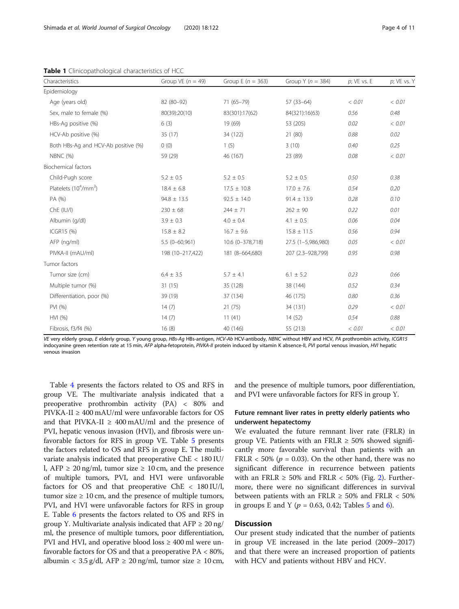| Characteristics                     | Group VE $(n = 49)$ | Group E ( $n = 363$ ) | Group Y ( $n = 384$ ) | $p$ ; VE vs. E | $p$ ; VE vs. Y |
|-------------------------------------|---------------------|-----------------------|-----------------------|----------------|----------------|
| Epidemiology                        |                     |                       |                       |                |                |
| Age (years old)                     | 82 (80-92)          | 71 (65-79)            | $57(33-64)$           | < 0.01         | < 0.01         |
| Sex, male to female (%)             | 80(39):20(10)       | 83(301):17(62)        | 84(321):16(63)        | 0.56           | 0.48           |
| HBs-Ag positive (%)                 | 6(3)                | 19 (69)               | 53 (205)              | 0.02           | < 0.01         |
| HCV-Ab positive (%)                 | 35(17)              | 34 (122)              | 21 (80)               | 0.88           | 0.02           |
| Both HBs-Ag and HCV-Ab positive (%) | 0(0)                | 1(5)                  | 3(10)                 | 0.40           | 0.25           |
| NBNC (%)                            | 59 (29)             | 46 (167)              | 23 (89)               | 0.08           | < 0.01         |
| Biochemical factors                 |                     |                       |                       |                |                |
| Child-Pugh score                    | $5.2 \pm 0.5$       | $5.2 \pm 0.5$         | $5.2 \pm 0.5$         | 0.50           | 0.38           |
| Platelets $(10^4/\text{mm}^3)$      | $18.4 \pm 6.8$      | $17.5 \pm 10.8$       | $17.0 \pm 7.6$        | 0.54           | 0.20           |
| PA (%)                              | $94.8 \pm 13.5$     | $92.5 \pm 14.0$       | $91.4 \pm 13.9$       | 0.28           | 0.10           |
| Che (IU/I)                          | $230 \pm 68$        | $244 \pm 71$          | $262 \pm 90$          | 0.22           | 0.01           |
| Albumin (g/dl)                      | $3.9 \pm 0.3$       | $4.0 \pm 0.4$         | $4.1 \pm 0.5$         | 0.06           | 0.04           |
| ICGR15 (%)                          | $15.8 \pm 8.2$      | $16.7 \pm 9.6$        | $15.8 \pm 11.5$       | 0.56           | 0.94           |
| AFP (ng/ml)                         | $5.5(0-60,961)$     | 10.6 (0-378,718)      | 27.5 (1-5,986,980)    | 0.05           | < 0.01         |
| PIVKA-II (mAU/ml)                   | 198 (10-217,422)    | 181 (8-664,680)       | 207 (2.3-928,799)     | 0.95           | 0.98           |
| Tumor factors                       |                     |                       |                       |                |                |
| Tumor size (cm)                     | $6.4 \pm 3.5$       | $5.7 \pm 4.1$         | $6.1 \pm 5.2$         | 0.23           | 0.66           |
| Multiple tumor (%)                  | 31(15)              | 35 (128)              | 38 (144)              | 0.52           | 0.34           |
| Differentiation, poor (%)           | 39 (19)             | 37 (134)              | 46 (175)              | 0.80           | 0.36           |
| PVI (%)                             | 14(7)               | 21(75)                | 34 (131)              | 0.29           | < 0.01         |
| HVI (%)                             | 14(7)               | 11(41)                | 14(52)                | 0.54           | 0.88           |
| Fibrosis, f3/f4 (%)                 | 16(8)               | 40 (146)              | 55 (213)              | < 0.01         | < 0.01         |

<span id="page-3-0"></span>Table 1 Clinicopathological characteristics of HCC

VE very elderly group, E elderly group, Y young group, HBs-Ag HBs-antigen, HCV-Ab HCV-antibody, NBNC without HBV and HCV, PA prothrombin activity, ICGR15 indocyanine green retention rate at 15 min, AFP alpha-fetoprotein, PIVKA-II protein induced by vitamin K absence-II, PVI portal venous invasion, HVI hepatic venous invasion

Table [4](#page-6-0) presents the factors related to OS and RFS in group VE. The multivariate analysis indicated that a preoperative prothrombin activity (PA) < 80% and PIVKA-II ≥ 400 mAU/ml were unfavorable factors for OS and that PIVKA-II  $\geq 400$  mAU/ml and the presence of PVI, hepatic venous invasion (HVI), and fibrosis were unfavorable factors for RFS in group VE. Table [5](#page-7-0) presents the factors related to OS and RFS in group E. The multivariate analysis indicated that preoperative ChE < 180 IU/ l, AFP  $\geq 20$  ng/ml, tumor size  $\geq 10$  cm, and the presence of multiple tumors, PVI, and HVI were unfavorable factors for OS and that preoperative ChE < 180 IU/l, tumor size  $\geq 10$  cm, and the presence of multiple tumors, PVI, and HVI were unfavorable factors for RFS in group E. Table [6](#page-8-0) presents the factors related to OS and RFS in group Y. Multivariate analysis indicated that  $AFP \geq 20$  ng/ ml, the presence of multiple tumors, poor differentiation, PVI and HVI, and operative blood loss  $\geq 400$  ml were unfavorable factors for OS and that a preoperative PA < 80%, albumin <  $3.5 \text{ g/dl}$ , AFP  $\geq 20 \text{ ng/ml}$ , tumor size  $\geq 10 \text{ cm}$ , and the presence of multiple tumors, poor differentiation, and PVI were unfavorable factors for RFS in group Y.

#### Future remnant liver rates in pretty elderly patients who underwent hepatectomy

We evaluated the future remnant liver rate (FRLR) in group VE. Patients with an FRLR  $\geq$  50% showed significantly more favorable survival than patients with an FRLR < 50% ( $p = 0.03$ ). On the other hand, there was no significant difference in recurrence between patients with an FRLR  $\geq$  50% and FRLR  $\lt$  50% (Fig. [2](#page-9-0)). Furthermore, there were no significant differences in survival between patients with an FRLR  $\geq$  50% and FRLR  $\lt$  50% in groups E and Y ( $p = 0.63, 0.42$  $p = 0.63, 0.42$  $p = 0.63, 0.42$ ; Tables [5](#page-7-0) and 6).

#### **Discussion**

Our present study indicated that the number of patients in group VE increased in the late period (2009–2017) and that there were an increased proportion of patients with HCV and patients without HBV and HCV.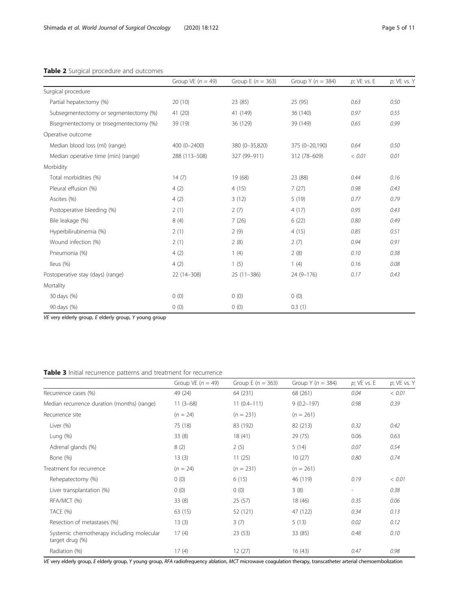#### <span id="page-4-0"></span>Table 2 Surgical procedure and outcomes

|                                         | Group VE $(n = 49)$ | Group E $(n = 363)$ | Group Y ( $n = 384$ ) | $p$ ; VE vs. E | $p$ ; VE vs. $\lambda$ |
|-----------------------------------------|---------------------|---------------------|-----------------------|----------------|------------------------|
| Surgical procedure                      |                     |                     |                       |                |                        |
| Partial hepatectomy (%)                 | 20(10)              | 23 (85)             | 25 (95)               | 0.63           | 0.50                   |
| Subsegmentectomy or segmentectomy (%)   | 41 (20)             | 41 (149)            | 36 (140)              | 0.97           | 0.55                   |
| Bisegmentectomy or trisegmentectomy (%) | 39 (19)             | 36 (129)            | 39 (149)              | 0.65           | 0.99                   |
| Operative outcome                       |                     |                     |                       |                |                        |
| Median blood loss (ml) (range)          | 400 (0-2400)        | 380 (0-35,820)      | 375 (0-20,190)        | 0.64           | 0.50                   |
| Median operative time (min) (range)     | 288 (113-508)       | 327 (99-911)        | 312 (78-609)          | < 0.01         | 0.01                   |
| Morbidity                               |                     |                     |                       |                |                        |
| Total morbidities (%)                   | 14(7)               | 19 (68)             | 23 (88)               | 0.44           | 0.16                   |
| Pleural effusion (%)                    | 4(2)                | 4(15)               | 7(27)                 | 0.98           | 0.43                   |
| Ascites (%)                             | 4(2)                | 3(12)               | 5(19)                 | 0.77           | 0.79                   |
| Postoperative bleeding (%)              | 2(1)                | 2(7)                | 4(17)                 | 0.95           | 0.43                   |
| Bile leakage (%)                        | 8(4)                | 7(26)               | 6(22)                 | 0.80           | 0.49                   |
| Hyperbilirubinemia (%)                  | 2(1)                | 2(9)                | 4(15)                 | 0.85           | 0.51                   |
| Wound infection (%)                     | 2(1)                | 2(8)                | 2(7)                  | 0.94           | 0.91                   |
| Pneumonia (%)                           | 4(2)                | 1(4)                | 2(8)                  | 0.10           | 0.38                   |
| Ileus (%)                               | 4(2)                | 1(5)                | 1(4)                  | 0.16           | 0.08                   |
| Postoperative stay (days) (range)       | 22 (14-308)         | $25(11-386)$        | 24 (9-176)            | 0.17           | 0.43                   |
| Mortality                               |                     |                     |                       |                |                        |
| 30 days (%)                             | 0(0)                | 0(0)                | 0(0)                  |                |                        |
| 90 days (%)                             | 0(0)                | 0(0)                | 0.3(1)                |                |                        |

VE very elderly group, E elderly group, Y young group

#### Table 3 Initial recurrence patterns and treatment for recurrence

|                                                              | Group VE $(n = 49)$ | Group E $(n = 363)$ | Group Y ( $n = 384$ ) | $p$ ; VE vs. E           | $p$ ; VE vs. Y |
|--------------------------------------------------------------|---------------------|---------------------|-----------------------|--------------------------|----------------|
| Recurrence cases (%)                                         | 49 (24)             | 64 (231)            | 68 (261)              | 0.04                     | < 0.01         |
| Median recurrence duration (months) (range)                  | $11(3-68)$          | $11(0.4 - 111)$     | $9(0.2 - 197)$        | 0.98                     | 0.39           |
| Recurrence site                                              | $(n = 24)$          | $(n = 231)$         | $(n = 261)$           |                          |                |
| Liver (%)                                                    | 75 (18)             | 83 (192)            | 82 (213)              | 0.32                     | 0.42           |
| Lung $(%)$                                                   | 33(8)               | 18 (41)             | 29 (75)               | 0.06                     | 0.63           |
| Adrenal glands (%)                                           | 8(2)                | 2(5)                | 5(14)                 | 0.07                     | 0.54           |
| Bone (%)                                                     | 13(3)               | 11(25)              | 10(27)                | 0.80                     | 0.74           |
| Treatment for recurrence                                     | $(n = 24)$          | $(n = 231)$         | $(n = 261)$           |                          |                |
| Rehepatectomy (%)                                            | 0(0)                | 6(15)               | 46 (119)              | 0.19                     | < 0.01         |
| Liver transplantation (%)                                    | 0(0)                | 0(0)                | 3(8)                  | $\overline{\phantom{a}}$ | 0.38           |
| RFA/MCT (%)                                                  | 33(8)               | 25(57)              | 18 (46)               | 0.35                     | 0.06           |
| TACE (%)                                                     | 63(15)              | 52 (121)            | 47 (122)              | 0.34                     | 0.13           |
| Resection of metastases (%)                                  | 13(3)               | 3(7)                | 5(13)                 | 0.02                     | 0.12           |
| Systemic chemotherapy including molecular<br>target drug (%) | 17(4)               | 23(53)              | 33 (85)               | 0.48                     | 0.10           |
| Radiation (%)                                                | 17(4)               | 12(27)              | 16(43)                | 0.47                     | 0.98           |

VE very elderly group, E elderly group, Y young group, RFA radiofrequency ablation, MCT microwave coagulation therapy, transcatheter arterial chemoembolization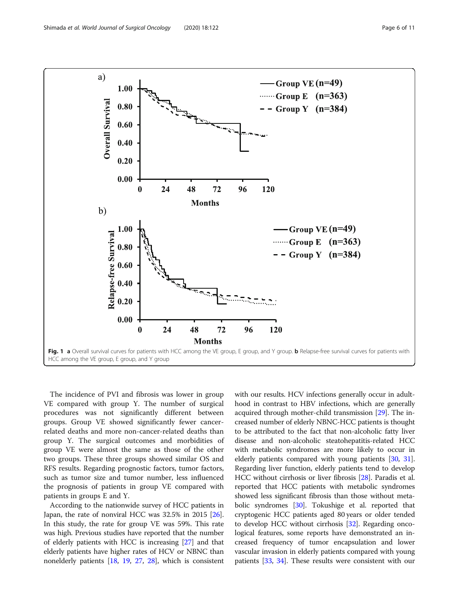<span id="page-5-0"></span>

The incidence of PVI and fibrosis was lower in group VE compared with group Y. The number of surgical procedures was not significantly different between groups. Group VE showed significantly fewer cancerrelated deaths and more non-cancer-related deaths than group Y. The surgical outcomes and morbidities of group VE were almost the same as those of the other two groups. These three groups showed similar OS and RFS results. Regarding prognostic factors, tumor factors, such as tumor size and tumor number, less influenced the prognosis of patients in group VE compared with patients in groups E and Y.

According to the nationwide survey of HCC patients in Japan, the rate of nonviral HCC was 32.5% in 2015 [[26](#page-10-0)]. In this study, the rate for group VE was 59%. This rate was high. Previous studies have reported that the number of elderly patients with HCC is increasing [\[27\]](#page-10-0) and that elderly patients have higher rates of HCV or NBNC than nonelderly patients [[18](#page-10-0), [19](#page-10-0), [27,](#page-10-0) [28](#page-10-0)], which is consistent

with our results. HCV infections generally occur in adulthood in contrast to HBV infections, which are generally acquired through mother-child transmission [\[29\]](#page-10-0). The increased number of elderly NBNC-HCC patients is thought to be attributed to the fact that non-alcoholic fatty liver disease and non-alcoholic steatohepatitis-related HCC with metabolic syndromes are more likely to occur in elderly patients compared with young patients [\[30,](#page-10-0) [31](#page-10-0)]. Regarding liver function, elderly patients tend to develop HCC without cirrhosis or liver fibrosis [\[28\]](#page-10-0). Paradis et al. reported that HCC patients with metabolic syndromes showed less significant fibrosis than those without meta-bolic syndromes [\[30\]](#page-10-0). Tokushige et al. reported that cryptogenic HCC patients aged 80 years or older tended to develop HCC without cirrhosis [\[32\]](#page-10-0). Regarding oncological features, some reports have demonstrated an increased frequency of tumor encapsulation and lower vascular invasion in elderly patients compared with young patients [\[33,](#page-10-0) [34\]](#page-10-0). These results were consistent with our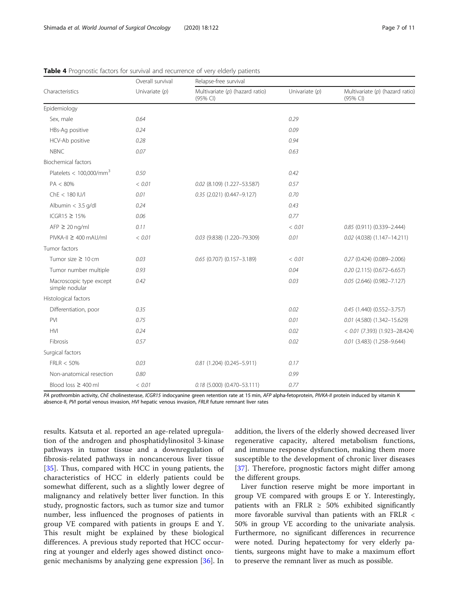|                                           | Overall survival<br>Univariate $(p)$ | Relapse-free survival                         |                  |                                             |  |
|-------------------------------------------|--------------------------------------|-----------------------------------------------|------------------|---------------------------------------------|--|
| Characteristics                           |                                      | Multivariate $(p)$ (hazard ratio)<br>(95% CI) | Univariate $(p)$ | Multivariate (p) (hazard ratio)<br>(95% CI) |  |
| Epidemiology                              |                                      |                                               |                  |                                             |  |
| Sex, male                                 | 0.64                                 |                                               | 0.29             |                                             |  |
| HBs-Aq positive                           | 0.24                                 |                                               | 0.09             |                                             |  |
| HCV-Ab positive                           | 0.28                                 |                                               | 0.94             |                                             |  |
| <b>NBNC</b>                               | 0.07                                 |                                               | 0.63             |                                             |  |
| <b>Biochemical factors</b>                |                                      |                                               |                  |                                             |  |
| Platelets < $100,000/\text{mm}^3$         | 0.50                                 |                                               | 0.42             |                                             |  |
| $PA < 80\%$                               | < 0.01                               | 0.02 (8.109) (1.227-53.587)                   | 0.57             |                                             |  |
| $Che < 180$ IU/I                          | 0.01                                 | 0.35 (2.021) (0.447-9.127)                    | 0.70             |                                             |  |
| Albumin $<$ 3.5 g/dl                      | 0.24                                 |                                               | 0.43             |                                             |  |
| ICGR15 $\geq$ 15%                         | 0.06                                 |                                               | 0.77             |                                             |  |
| $AFP \geq 20$ ng/ml                       | 0.11                                 |                                               | < 0.01           | 0.85 (0.911) (0.339-2.444)                  |  |
| PIVKA-II ≥ 400 mAU/ml                     | < 0.01                               | 0.03 (9.838) (1.220-79.309)                   | 0.01             | $0.02$ (4.038) (1.147-14.211)               |  |
| Tumor factors                             |                                      |                                               |                  |                                             |  |
| Tumor size $\geq 10$ cm                   | 0.03                                 | $0.65$ (0.707) (0.157-3.189)                  | < 0.01           | $0.27(0.424)(0.089 - 2.006)$                |  |
| Tumor number multiple                     | 0.93                                 |                                               | 0.04             | $0.20$ (2.115) (0.672-6.657)                |  |
| Macroscopic type except<br>simple nodular | 0.42                                 |                                               | 0.03             | $0.05$ (2.646) (0.982-7.127)                |  |
| Histological factors                      |                                      |                                               |                  |                                             |  |
| Differentiation, poor                     | 0.35                                 |                                               | 0.02             | $0.45$ (1.440) (0.552-3.757)                |  |
| PVI                                       | 0.75                                 |                                               | 0.01             | 0.01 (4.580) (1.342-15.629)                 |  |
| <b>HVI</b>                                | 0.24                                 |                                               | 0.02             | $< 0.01$ (7.393) (1.923-28.424)             |  |
| Fibrosis                                  | 0.57                                 |                                               | 0.02             | $0.01$ (3.483) (1.258-9.644)                |  |
| Surgical factors                          |                                      |                                               |                  |                                             |  |
| FRLR < 50%                                | 0.03                                 | $0.81(1.204)(0.245 - 5.911)$                  | 0.17             |                                             |  |
| Non-anatomical resection                  | 0.80                                 |                                               | 0.99             |                                             |  |
| Blood loss $\geq 400$ ml                  | < 0.01                               | $0.18$ (5.000) (0.470-53.111)                 | 0.77             |                                             |  |

<span id="page-6-0"></span>Table 4 Prognostic factors for survival and recurrence of very elderly patients

PA prothrombin activity, ChE cholinesterase, ICGR15 indocyanine green retention rate at 15 min, AFP alpha-fetoprotein, PIVKA-II protein induced by vitamin K absence-II, PVI portal venous invasion, HVI hepatic venous invasion, FRLR future remnant liver rates

results. Katsuta et al. reported an age-related upregulation of the androgen and phosphatidylinositol 3-kinase pathways in tumor tissue and a downregulation of fibrosis-related pathways in noncancerous liver tissue [[35\]](#page-10-0). Thus, compared with HCC in young patients, the characteristics of HCC in elderly patients could be somewhat different, such as a slightly lower degree of malignancy and relatively better liver function. In this study, prognostic factors, such as tumor size and tumor number, less influenced the prognoses of patients in group VE compared with patients in groups E and Y. This result might be explained by these biological differences. A previous study reported that HCC occurring at younger and elderly ages showed distinct oncogenic mechanisms by analyzing gene expression [\[36](#page-10-0)]. In addition, the livers of the elderly showed decreased liver regenerative capacity, altered metabolism functions, and immune response dysfunction, making them more susceptible to the development of chronic liver diseases [[37\]](#page-10-0). Therefore, prognostic factors might differ among the different groups.

Liver function reserve might be more important in group VE compared with groups E or Y. Interestingly, patients with an FRLR  $\geq$  50% exhibited significantly more favorable survival than patients with an FRLR < 50% in group VE according to the univariate analysis. Furthermore, no significant differences in recurrence were noted. During hepatectomy for very elderly patients, surgeons might have to make a maximum effort to preserve the remnant liver as much as possible.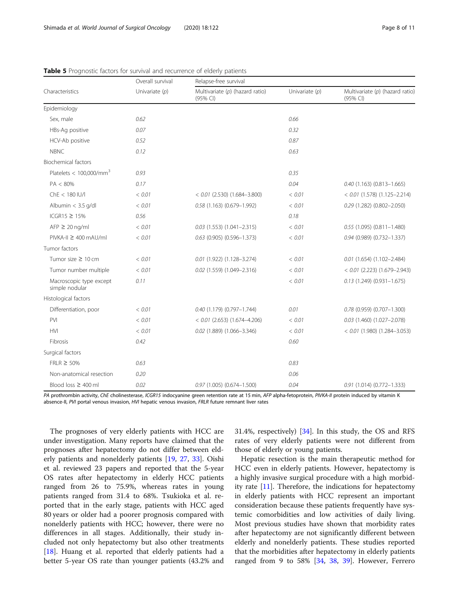|                                           | Overall survival<br>Univariate $(p)$ | Relapse-free survival                         |                  |                                             |  |
|-------------------------------------------|--------------------------------------|-----------------------------------------------|------------------|---------------------------------------------|--|
| Characteristics                           |                                      | Multivariate $(p)$ (hazard ratio)<br>(95% CI) | Univariate $(p)$ | Multivariate (p) (hazard ratio)<br>(95% CI) |  |
| Epidemiology                              |                                      |                                               |                  |                                             |  |
| Sex, male                                 | 0.62                                 |                                               | 0.66             |                                             |  |
| HBs-Aq positive                           | 0.07                                 |                                               | 0.32             |                                             |  |
| HCV-Ab positive                           | 0.52                                 |                                               | 0.87             |                                             |  |
| <b>NBNC</b>                               | 0.12                                 |                                               | 0.63             |                                             |  |
| <b>Biochemical factors</b>                |                                      |                                               |                  |                                             |  |
| Platelets < $100,000/\text{mm}^3$         | 0.93                                 |                                               | 0.35             |                                             |  |
| PA < 80%                                  | 0.17                                 |                                               | 0.04             | $0.40$ (1.163) (0.813-1.665)                |  |
| $Che < 180$ IU/I                          | < 0.01                               | $< 0.01$ (2.530) (1.684-3.800)                | < 0.01           | $< 0.01$ (1.578) (1.125-2.214)              |  |
| Albumin $<$ 3.5 g/dl                      | < 0.01                               | $0.58$ (1.163) (0.679-1.992)                  | < 0.01           | 0.29 (1.282) (0.802-2.050)                  |  |
| ICGR15 ≥ 15%                              | 0.56                                 |                                               | 0.18             |                                             |  |
| $AFP \geq 20$ ng/ml                       | < 0.01                               | $0.03$ (1.553) (1.041-2.315)                  | < 0.01           | $0.55$ (1.095) (0.811-1.480)                |  |
| $PIVKA-II \geq 400 \text{ mA}U/ml$        | < 0.01                               | $0.63$ (0.905) (0.596-1.373)                  | < 0.01           | $0.94$ (0.989) (0.732-1.337)                |  |
| Tumor factors                             |                                      |                                               |                  |                                             |  |
| Tumor size $\geq 10$ cm                   | < 0.01                               | $0.01$ (1.922) (1.128-3.274)                  | < 0.01           | $0.01$ (1.654) (1.102-2.484)                |  |
| Tumor number multiple                     | < 0.01                               | $0.02$ (1.559) (1.049-2.316)                  | < 0.01           | $< 0.01$ (2.223) (1.679-2.943)              |  |
| Macroscopic type except<br>simple nodular | 0.11                                 |                                               | < 0.01           | $0.13(1.249)(0.931-1.675)$                  |  |
| Histological factors                      |                                      |                                               |                  |                                             |  |
| Differentiation, poor                     | < 0.01                               | $0.40$ (1.179) (0.797-1.744)                  | 0.01             | $0.78$ (0.959) (0.707-1.300)                |  |
| <b>PVI</b>                                | < 0.01                               | $< 0.01$ (2.653) (1.674-4.206)                | < 0.01           | $0.03$ (1.460) (1.027-2.078)                |  |
| <b>HVI</b>                                | < 0.01                               | $0.02$ (1.889) (1.066-3.346)                  | < 0.01           | $< 0.01$ (1.980) (1.284-3.053)              |  |
| Fibrosis                                  | 0.42                                 |                                               | 0.60             |                                             |  |
| Surgical factors                          |                                      |                                               |                  |                                             |  |
| $FRLR \geq 50\%$                          | 0.63                                 |                                               | 0.83             |                                             |  |
| Non-anatomical resection                  | 0.20                                 |                                               | 0.06             |                                             |  |
| Blood loss $\geq 400$ ml                  | 0.02                                 | $0.97(1.005)(0.674 - 1.500)$                  | 0.04             | $0.91(1.014)(0.772 - 1.333)$                |  |

<span id="page-7-0"></span>Table 5 Prognostic factors for survival and recurrence of elderly patients

PA prothrombin activity, ChE cholinesterase, ICGR15 indocyanine green retention rate at 15 min, AFP alpha-fetoprotein, PIVKA-II protein induced by vitamin K absence-II, PVI portal venous invasion, HVI hepatic venous invasion, FRLR future remnant liver rates

The prognoses of very elderly patients with HCC are under investigation. Many reports have claimed that the prognoses after hepatectomy do not differ between elderly patients and nonelderly patients [\[19](#page-10-0), [27](#page-10-0), [33](#page-10-0)]. Oishi et al. reviewed 23 papers and reported that the 5-year OS rates after hepatectomy in elderly HCC patients ranged from 26 to 75.9%, whereas rates in young patients ranged from 31.4 to 68%. Tsukioka et al. reported that in the early stage, patients with HCC aged 80 years or older had a poorer prognosis compared with nonelderly patients with HCC; however, there were no differences in all stages. Additionally, their study included not only hepatectomy but also other treatments [[18\]](#page-10-0). Huang et al. reported that elderly patients had a better 5-year OS rate than younger patients (43.2% and 31.4%, respectively) [\[34\]](#page-10-0). In this study, the OS and RFS rates of very elderly patients were not different from those of elderly or young patients.

Hepatic resection is the main therapeutic method for HCC even in elderly patients. However, hepatectomy is a highly invasive surgical procedure with a high morbidity rate  $[11]$ . Therefore, the indications for hepatectomy in elderly patients with HCC represent an important consideration because these patients frequently have systemic comorbidities and low activities of daily living. Most previous studies have shown that morbidity rates after hepatectomy are not significantly different between elderly and nonelderly patients. These studies reported that the morbidities after hepatectomy in elderly patients ranged from 9 to 58%  $[34, 38, 39]$  $[34, 38, 39]$  $[34, 38, 39]$  $[34, 38, 39]$  $[34, 38, 39]$  $[34, 38, 39]$  $[34, 38, 39]$ . However, Ferrero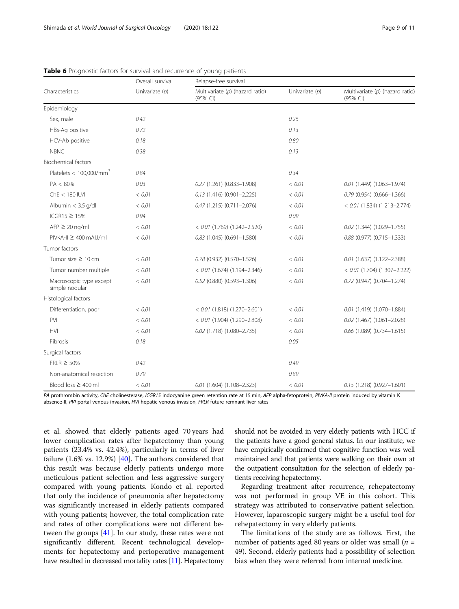|                                           | Overall survival | Relapse-free survival                         |                  |                                               |  |
|-------------------------------------------|------------------|-----------------------------------------------|------------------|-----------------------------------------------|--|
| Characteristics                           | Univariate $(p)$ | Multivariate $(p)$ (hazard ratio)<br>(95% CI) | Univariate $(p)$ | Multivariate $(p)$ (hazard ratio)<br>(95% CI) |  |
| Epidemiology                              |                  |                                               |                  |                                               |  |
| Sex, male                                 | 0.42             |                                               | 0.26             |                                               |  |
| HBs-Ag positive                           | 0.72             |                                               | 0.13             |                                               |  |
| HCV-Ab positive                           | 0.18             |                                               | 0.80             |                                               |  |
| <b>NBNC</b>                               | 0.38             |                                               | 0.13             |                                               |  |
| <b>Biochemical factors</b>                |                  |                                               |                  |                                               |  |
| Platelets < $100,000/\text{mm}^3$         | 0.84             |                                               | 0.34             |                                               |  |
| $PA < 80\%$                               | 0.03             | 0.27 (1.261) (0.833-1.908)                    | < 0.01           | $0.01(1.449)(1.063 - 1.974)$                  |  |
| $Che < 180$ IU/I                          | < 0.01           | $0.13$ (1.416) (0.901-2.225)                  | < 0.01           | $0.79$ (0.954) (0.666-1.366)                  |  |
| Albumin < 3.5 g/dl                        | < 0.01           | $0.47(1.215)(0.711 - 2.076)$                  | < 0.01           | $< 0.01$ (1.834) (1.213-2.774)                |  |
| ICGR15 $\geq$ 15%                         | 0.94             |                                               | 0.09             |                                               |  |
| $AFP \geq 20$ ng/ml                       | < 0.01           | $< 0.01$ (1.769) (1.242-2.520)                | < 0.01           | $0.02$ (1.344) (1.029-1.755)                  |  |
| $PIVKA-II \geq 400 \text{ mA}U/ml$        | < 0.01           | $0.83$ (1.045) (0.691-1.580)                  | < 0.01           | $0.88$ (0.977) (0.715-1.333)                  |  |
| Tumor factors                             |                  |                                               |                  |                                               |  |
| Tumor size $\geq 10$ cm                   | < 0.01           | $0.78$ (0.932) (0.570-1.526)                  | < 0.01           | $0.01$ (1.637) (1.122-2.388)                  |  |
| Tumor number multiple                     | < 0.01           | $< 0.01$ (1.674) (1.194-2.346)                | < 0.01           | $< 0.01$ (1.704) (1.307-2.222)                |  |
| Macroscopic type except<br>simple nodular | < 0.01           | $0.52$ (0.880) (0.593-1.306)                  | < 0.01           | $0.72$ (0.947) (0.704-1.274)                  |  |
| Histological factors                      |                  |                                               |                  |                                               |  |
| Differentiation, poor                     | < 0.01           | $< 0.01$ (1.818) (1.270-2.601)                | < 0.01           | $0.01(1.419)(1.070-1.884)$                    |  |
| <b>PVI</b>                                | < 0.01           | $< 0.01$ (1.904) (1.290-2.808)                | < 0.01           | $0.02$ (1.467) (1.061-2.028)                  |  |
| <b>HVI</b>                                | < 0.01           | $0.02$ (1.718) (1.080-2.735)                  | < 0.01           | 0.66 (1.089) (0.734-1.615)                    |  |
| Fibrosis                                  | 0.18             |                                               | 0.05             |                                               |  |
| Surgical factors                          |                  |                                               |                  |                                               |  |
| $FRLR \geq 50\%$                          | 0.42             |                                               | 0.49             |                                               |  |
| Non-anatomical resection                  | 0.79             |                                               | 0.89             |                                               |  |
| Blood loss $\geq 400$ ml                  | < 0.01           | $0.01$ (1.604) (1.108-2.323)                  | < 0.01           | $0.15$ (1.218) (0.927-1.601)                  |  |

<span id="page-8-0"></span>Table 6 Prognostic factors for survival and recurrence of young patients

PA prothrombin activity, ChE cholinesterase, ICGR15 indocyanine green retention rate at 15 min, AFP alpha-fetoprotein, PIVKA-II protein induced by vitamin K absence-II, PVI portal venous invasion, HVI hepatic venous invasion, FRLR future remnant liver rates

et al. showed that elderly patients aged 70 years had lower complication rates after hepatectomy than young patients (23.4% vs. 42.4%), particularly in terms of liver failure (1.6% vs. 12.9%) [[40](#page-10-0)]. The authors considered that this result was because elderly patients undergo more meticulous patient selection and less aggressive surgery compared with young patients. Kondo et al. reported that only the incidence of pneumonia after hepatectomy was significantly increased in elderly patients compared with young patients; however, the total complication rate and rates of other complications were not different between the groups [[41\]](#page-10-0). In our study, these rates were not significantly different. Recent technological developments for hepatectomy and perioperative management have resulted in decreased mortality rates [\[11](#page-10-0)]. Hepatectomy

should not be avoided in very elderly patients with HCC if the patients have a good general status. In our institute, we have empirically confirmed that cognitive function was well maintained and that patients were walking on their own at the outpatient consultation for the selection of elderly patients receiving hepatectomy.

Regarding treatment after recurrence, rehepatectomy was not performed in group VE in this cohort. This strategy was attributed to conservative patient selection. However, laparoscopic surgery might be a useful tool for rehepatectomy in very elderly patients.

The limitations of the study are as follows. First, the number of patients aged 80 years or older was small ( $n =$ 49). Second, elderly patients had a possibility of selection bias when they were referred from internal medicine.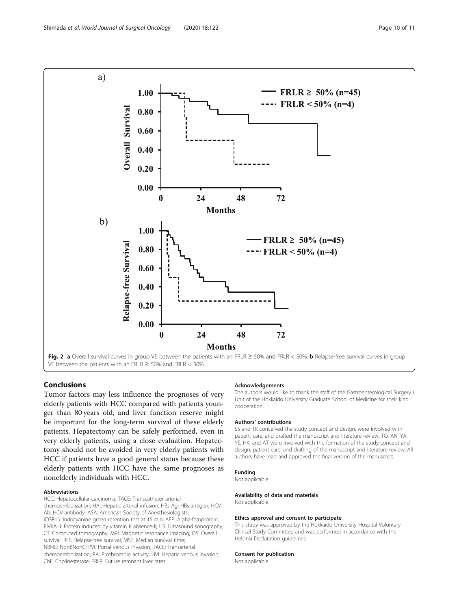<span id="page-9-0"></span>

#### Conclusions

Tumor factors may less influence the prognoses of very elderly patients with HCC compared with patients younger than 80 years old, and liver function reserve might be important for the long-term survival of these elderly patients. Hepatectomy can be safely performed, even in very elderly patients, using a close evaluation. Hepatectomy should not be avoided in very elderly patients with HCC if patients have a good general status because these elderly patients with HCC have the same prognoses as nonelderly individuals with HCC.

#### Abbreviations

HCC: Hepatocellular carcinoma; TACE: Transcatheter arterial

chemoembolization; HAI: Hepatic arterial infusion; HBs-Ag: HBs-antigen; HCV-Ab: HCV-antibody; ASA: American Society of Anesthesiologists; ICGR15: Indocyanine green retention test at 15 min; AFP: Alpha-fetoprotein; PIVKA-II: Protein induced by vitamin K absence-II; US: Ultrasound sonography; CT: Computed tomography; MRI: Magnetic resonance imaging; OS: Overall survival; RFS: Relapse-free survival; MST: Median survival time; NBNC: NonBNonC; PVI: Portal venous invasion; TACE: Transarterial chemoembolization; PA: Prothrombin activity; HVI: Hepatic venous invasion; ChE: Cholinesterase; FRLR: Future remnant liver rates

#### Acknowledgements

The authors would like to thank the staff of the Gastroenterological Surgery I Unit of the Hokkaido University Graduate School of Medicine for their kind cooperation.

#### Authors' contributions

SS and TK conceived the study concept and design, were involved with patient care, and drafted the manuscript and literature review. TO, AN, YA, YS, HK, and AT were involved with the formation of the study concept and design, patient care, and drafting of the manuscript and literature review. All authors have read and approved the final version of the manuscript.

#### Funding

Not applicable

#### Availability of data and materials

Not applicable

#### Ethics approval and consent to participate

This study was approved by the Hokkaido University Hospital Voluntary Clinical Study Committee and was performed in accordance with the Helsinki Declaration guidelines.

#### Consent for publication

Not applicable